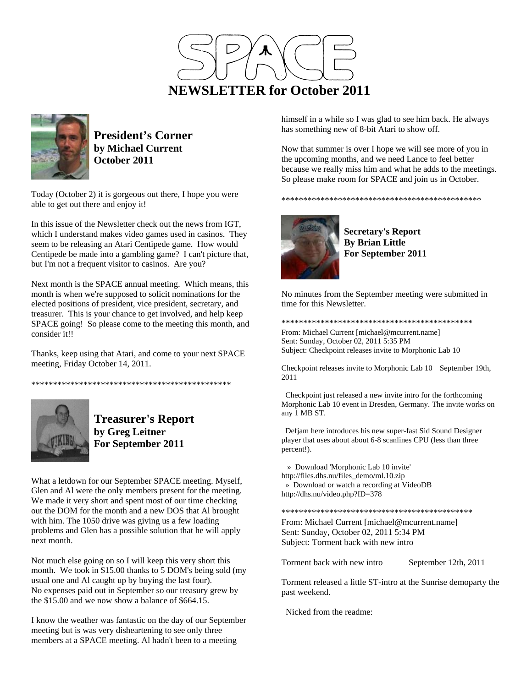



**President's Corner by Michael Current October 2011**

Today (October 2) it is gorgeous out there, I hope you were able to get out there and enjoy it!

In this issue of the Newsletter check out the news from IGT, which I understand makes video games used in casinos. They seem to be releasing an Atari Centipede game. How would Centipede be made into a gambling game? I can't picture that, but I'm not a frequent visitor to casinos. Are you?

Next month is the SPACE annual meeting. Which means, this month is when we're supposed to solicit nominations for the elected positions of president, vice president, secretary, and treasurer. This is your chance to get involved, and help keep SPACE going! So please come to the meeting this month, and consider it!!

Thanks, keep using that Atari, and come to your next SPACE meeting, Friday October 14, 2011.

\*\*\*\*\*\*\*\*\*\*\*\*\*\*\*\*\*\*\*\*\*\*\*\*\*\*\*\*\*\*\*\*\*\*\*\*\*\*\*\*\*\*\*\*\*\*



**Treasurer's Report by Greg Leitner For September 2011** 

What a letdown for our September SPACE meeting. Myself, Glen and Al were the only members present for the meeting. We made it very short and spent most of our time checking out the DOM for the month and a new DOS that Al brought with him. The 1050 drive was giving us a few loading problems and Glen has a possible solution that he will apply next month.

Not much else going on so I will keep this very short this month. We took in \$15.00 thanks to 5 DOM's being sold (my usual one and Al caught up by buying the last four). No expenses paid out in September so our treasury grew by the \$15.00 and we now show a balance of \$664.15.

I know the weather was fantastic on the day of our September meeting but is was very disheartening to see only three members at a SPACE meeting. Al hadn't been to a meeting

himself in a while so I was glad to see him back. He always has something new of 8-bit Atari to show off.

Now that summer is over I hope we will see more of you in the upcoming months, and we need Lance to feel better because we really miss him and what he adds to the meetings. So please make room for SPACE and join us in October.



**Secretary's Report By Brian Little For September 2011** 

\*\*\*\*\*\*\*\*\*\*\*\*\*\*\*\*\*\*\*\*\*\*\*\*\*\*\*\*\*\*\*\*\*\*\*\*\*\*\*\*\*\*\*\*\*\*

No minutes from the September meeting were submitted in time for this Newsletter.

\*\*\*\*\*\*\*\*\*\*\*\*\*\*\*\*\*\*\*\*\*\*\*\*\*\*\*\*\*\*\*\*\*\*\*\*\*\*\*\*\*\*\*\*

From: Michael Current [michael@mcurrent.name] Sent: Sunday, October 02, 2011 5:35 PM Subject: Checkpoint releases invite to Morphonic Lab 10

Checkpoint releases invite to Morphonic Lab 10 September 19th, 2011

 Checkpoint just released a new invite intro for the forthcoming Morphonic Lab 10 event in Dresden, Germany. The invite works on any 1 MB ST.

 Defjam here introduces his new super-fast Sid Sound Designer player that uses about about 6-8 scanlines CPU (less than three percent!).

 » Download 'Morphonic Lab 10 invite' http://files.dhs.nu/files\_demo/ml.10.zip » Download or watch a recording at VideoDB http://dhs.nu/video.php?ID=378

\*\*\*\*\*\*\*\*\*\*\*\*\*\*\*\*\*\*\*\*\*\*\*\*\*\*\*\*\*\*\*\*\*\*\*\*\*\*\*\*\*\*\*\*

From: Michael Current [michael@mcurrent.name] Sent: Sunday, October 02, 2011 5:34 PM Subject: Torment back with new intro

Torment back with new intro<br>
September 12th, 2011

Torment released a little ST-intro at the Sunrise demoparty the past weekend.

Nicked from the readme: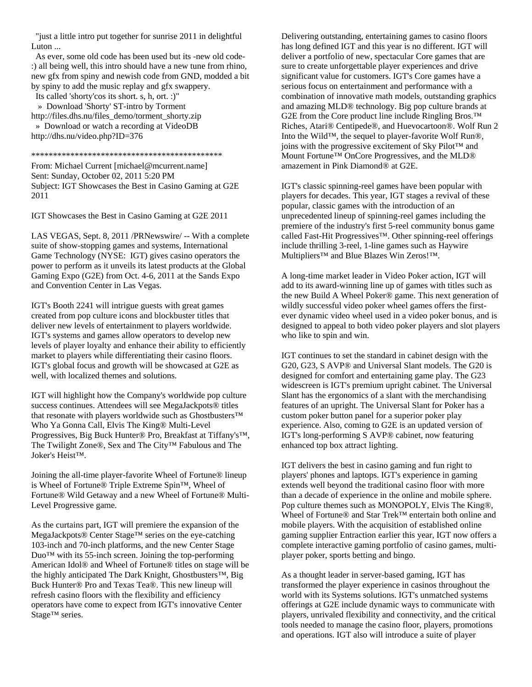"just a little intro put together for sunrise 2011 in delightful Luton ...

 As ever, some old code has been used but its -new old code- :) all being well, this intro should have a new tune from rhino, new gfx from spiny and newish code from GND, modded a bit by spiny to add the music replay and gfx swappery.

Its called 'shorty'cos its short. s, h, ort. :)"

 » Download 'Shorty' ST-intro by Torment http://files.dhs.nu/files\_demo/torment\_shorty.zip » Download or watch a recording at VideoDB http://dhs.nu/video.php?ID=376

\*\*\*\*\*\*\*\*\*\*\*\*\*\*\*\*\*\*\*\*\*\*\*\*\*\*\*\*\*\*\*\*\*\*\*\*\*\*\*\*\*\*\*\*

From: Michael Current [michael@mcurrent.name] Sent: Sunday, October 02, 2011 5:20 PM Subject: IGT Showcases the Best in Casino Gaming at G2E 2011

IGT Showcases the Best in Casino Gaming at G2E 2011

LAS VEGAS, Sept. 8, 2011 /PRNewswire/ -- With a complete suite of show-stopping games and systems, International Game Technology (NYSE: IGT) gives casino operators the power to perform as it unveils its latest products at the Global Gaming Expo (G2E) from Oct. 4-6, 2011 at the Sands Expo and Convention Center in Las Vegas.

IGT's Booth 2241 will intrigue guests with great games created from pop culture icons and blockbuster titles that deliver new levels of entertainment to players worldwide. IGT's systems and games allow operators to develop new levels of player loyalty and enhance their ability to efficiently market to players while differentiating their casino floors. IGT's global focus and growth will be showcased at G2E as well, with localized themes and solutions.

IGT will highlight how the Company's worldwide pop culture success continues. Attendees will see MegaJackpots® titles that resonate with players worldwide such as Ghostbusters™ Who Ya Gonna Call, Elvis The King® Multi-Level Progressives, Big Buck Hunter® Pro, Breakfast at Tiffany's™, The Twilight Zone®, Sex and The City™ Fabulous and The Joker's Heist™.

Joining the all-time player-favorite Wheel of Fortune® lineup is Wheel of Fortune® Triple Extreme Spin™, Wheel of Fortune® Wild Getaway and a new Wheel of Fortune® Multi-Level Progressive game.

As the curtains part, IGT will premiere the expansion of the MegaJackpots® Center Stage™ series on the eye-catching 103-inch and 70-inch platforms, and the new Center Stage Duo™ with its 55-inch screen. Joining the top-performing American Idol® and Wheel of Fortune® titles on stage will be the highly anticipated The Dark Knight, Ghostbusters™, Big Buck Hunter® Pro and Texas Tea®. This new lineup will refresh casino floors with the flexibility and efficiency operators have come to expect from IGT's innovative Center Stage™ series.

Delivering outstanding, entertaining games to casino floors has long defined IGT and this year is no different. IGT will deliver a portfolio of new, spectacular Core games that are sure to create unforgettable player experiences and drive significant value for customers. IGT's Core games have a serious focus on entertainment and performance with a combination of innovative math models, outstanding graphics and amazing MLD® technology. Big pop culture brands at G2E from the Core product line include Ringling Bros.<sup>™</sup> Riches, Atari® Centipede®, and Huevocartoon®. Wolf Run 2 Into the Wild™, the sequel to player-favorite Wolf Run®, joins with the progressive excitement of Sky Pilot™ and Mount Fortune™ OnCore Progressives, and the MLD® amazement in Pink Diamond® at G2E.

IGT's classic spinning-reel games have been popular with players for decades. This year, IGT stages a revival of these popular, classic games with the introduction of an unprecedented lineup of spinning-reel games including the premiere of the industry's first 5-reel community bonus game called Fast-Hit Progressives™. Other spinning-reel offerings include thrilling 3-reel, 1-line games such as Haywire Multipliers™ and Blue Blazes Win Zeros!™.

A long-time market leader in Video Poker action, IGT will add to its award-winning line up of games with titles such as the new Build A Wheel Poker® game. This next generation of wildly successful video poker wheel games offers the firstever dynamic video wheel used in a video poker bonus, and is designed to appeal to both video poker players and slot players who like to spin and win.

IGT continues to set the standard in cabinet design with the G20, G23, S AVP® and Universal Slant models. The G20 is designed for comfort and entertaining game play. The G23 widescreen is IGT's premium upright cabinet. The Universal Slant has the ergonomics of a slant with the merchandising features of an upright. The Universal Slant for Poker has a custom poker button panel for a superior poker play experience. Also, coming to G2E is an updated version of IGT's long-performing S AVP® cabinet, now featuring enhanced top box attract lighting.

IGT delivers the best in casino gaming and fun right to players' phones and laptops. IGT's experience in gaming extends well beyond the traditional casino floor with more than a decade of experience in the online and mobile sphere. Pop culture themes such as MONOPOLY, Elvis The King®, Wheel of Fortune® and Star Trek™ entertain both online and mobile players. With the acquisition of established online gaming supplier Entraction earlier this year, IGT now offers a complete interactive gaming portfolio of casino games, multiplayer poker, sports betting and bingo.

As a thought leader in server-based gaming, IGT has transformed the player experience in casinos throughout the world with its Systems solutions. IGT's unmatched systems offerings at G2E include dynamic ways to communicate with players, unrivaled flexibility and connectivity, and the critical tools needed to manage the casino floor, players, promotions and operations. IGT also will introduce a suite of player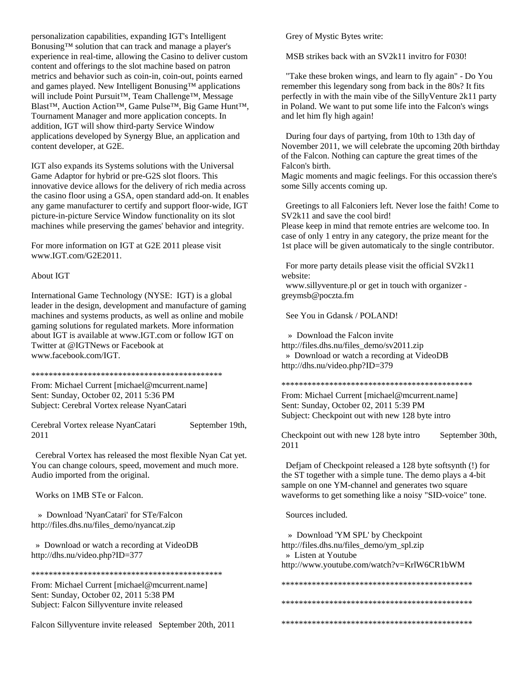personalization capabilities, expanding IGT's Intelligent Bonusing™ solution that can track and manage a player's experience in real-time, allowing the Casino to deliver custom content and offerings to the slot machine based on patron metrics and behavior such as coin-in, coin-out, points earned and games played. New Intelligent Bonusing™ applications will include Point Pursuit™, Team Challenge™, Message Blast™, Auction Action™, Game Pulse™, Big Game Hunt™, Tournament Manager and more application concepts. In addition, IGT will show third-party Service Window applications developed by Synergy Blue, an application and content developer, at G2E.

IGT also expands its Systems solutions with the Universal Game Adaptor for hybrid or pre-G2S slot floors. This innovative device allows for the delivery of rich media across the casino floor using a GSA, open standard add-on. It enables any game manufacturer to certify and support floor-wide, IGT picture-in-picture Service Window functionality on its slot machines while preserving the games' behavior and integrity.

For more information on IGT at G2E 2011 please visit www.IGT.com/G2E2011.

## About IGT

International Game Technology (NYSE: IGT) is a global leader in the design, development and manufacture of gaming machines and systems products, as well as online and mobile gaming solutions for regulated markets. More information about IGT is available at www.IGT.com or follow IGT on Twitter at @IGTNews or Facebook at www.facebook.com/IGT.

## \*\*\*\*\*\*\*\*\*\*\*\*\*\*\*\*\*\*\*\*\*\*\*\*\*\*\*\*\*\*\*\*\*\*\*\*\*\*\*\*\*\*\*\*

From: Michael Current [michael@mcurrent.name] Sent: Sunday, October 02, 2011 5:36 PM Subject: Cerebral Vortex release NyanCatari

Cerebral Vortex release NyanCatari September 19th, 2011

 Cerebral Vortex has released the most flexible Nyan Cat yet. You can change colours, speed, movement and much more. Audio imported from the original.

Works on 1MB STe or Falcon.

 » Download 'NyanCatari' for STe/Falcon http://files.dhs.nu/files\_demo/nyancat.zip

 » Download or watch a recording at VideoDB http://dhs.nu/video.php?ID=377

\*\*\*\*\*\*\*\*\*\*\*\*\*\*\*\*\*\*\*\*\*\*\*\*\*\*\*\*\*\*\*\*\*\*\*\*\*\*\*\*\*\*\*\*

From: Michael Current [michael@mcurrent.name] Sent: Sunday, October 02, 2011 5:38 PM Subject: Falcon Sillyventure invite released

Falcon Sillyventure invite released September 20th, 2011

Grey of Mystic Bytes write:

MSB strikes back with an SV2k11 invitro for F030!

 "Take these broken wings, and learn to fly again" - Do You remember this legendary song from back in the 80s? It fits perfectly in with the main vibe of the SillyVenture 2k11 party in Poland. We want to put some life into the Falcon's wings and let him fly high again!

 During four days of partying, from 10th to 13th day of November 2011, we will celebrate the upcoming 20th birthday of the Falcon. Nothing can capture the great times of the Falcon's birth.

Magic moments and magic feelings. For this occassion there's some Silly accents coming up.

 Greetings to all Falconiers left. Never lose the faith! Come to SV2k11 and save the cool bird!

Please keep in mind that remote entries are welcome too. In case of only 1 entry in any category, the prize meant for the 1st place will be given automaticaly to the single contributor.

 For more party details please visit the official SV2k11 website:

 www.sillyventure.pl or get in touch with organizer greymsb@poczta.fm

See You in Gdansk / POLAND!

» Download the Falcon invite

http://files.dhs.nu/files\_demo/sv2011.zip » Download or watch a recording at VideoDB http://dhs.nu/video.php?ID=379

\*\*\*\*\*\*\*\*\*\*\*\*\*\*\*\*\*\*\*\*\*\*\*\*\*\*\*\*\*\*\*\*\*\*\*\*\*\*\*\*\*\*\*\*

From: Michael Current [michael@mcurrent.name] Sent: Sunday, October 02, 2011 5:39 PM Subject: Checkpoint out with new 128 byte intro

Checkpoint out with new 128 byte intro September 30th, 2011

 Defjam of Checkpoint released a 128 byte softsynth (!) for the ST together with a simple tune. The demo plays a 4-bit sample on one YM-channel and generates two square waveforms to get something like a noisy "SID-voice" tone.

Sources included.

 » Download 'YM SPL' by Checkpoint http://files.dhs.nu/files\_demo/ym\_spl.zip » Listen at Youtube http://www.youtube.com/watch?v=KrlW6CR1bWM

\*\*\*\*\*\*\*\*\*\*\*\*\*\*\*\*\*\*\*\*\*\*\*\*\*\*\*\*\*\*\*\*\*\*\*\*\*\*\*\*\*\*\*\*

\*\*\*\*\*\*\*\*\*\*\*\*\*\*\*\*\*\*\*\*\*\*\*\*\*\*\*\*\*\*\*\*\*\*\*\*\*\*\*\*\*\*\*\*

\*\*\*\*\*\*\*\*\*\*\*\*\*\*\*\*\*\*\*\*\*\*\*\*\*\*\*\*\*\*\*\*\*\*\*\*\*\*\*\*\*\*\*\*